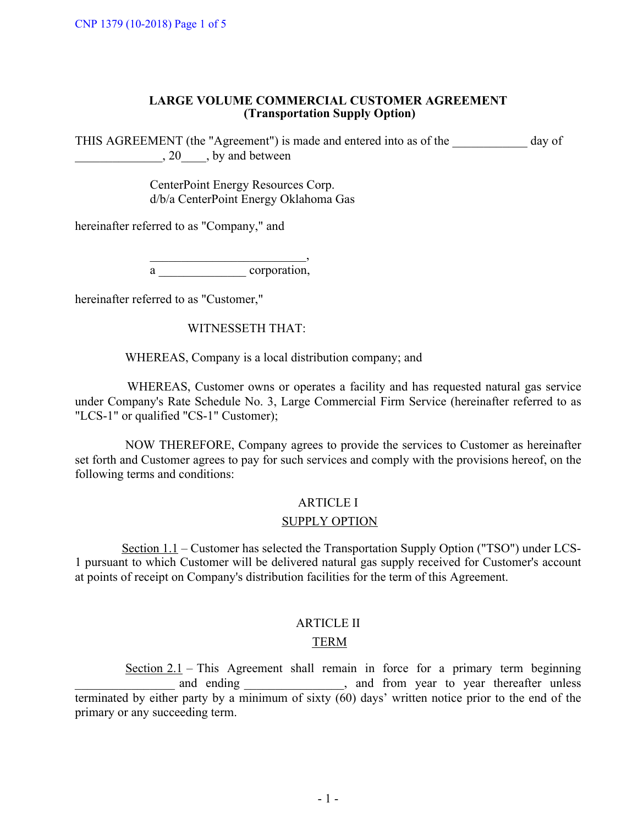## **LARGE VOLUME COMMERCIAL CUSTOMER AGREEMENT (Transportation Supply Option)**

THIS AGREEMENT (the "Agreement") is made and entered into as of the day of  $\Box$ , 20  $\Box$ , by and between

> CenterPoint Energy Resources Corp. d/b/a CenterPoint Energy Oklahoma Gas

hereinafter referred to as "Company," and

 $\overline{\phantom{a}}$ 

a corporation,

hereinafter referred to as "Customer,"

# WITNESSETH THAT:

WHEREAS, Company is a local distribution company; and

WHEREAS, Customer owns or operates a facility and has requested natural gas service under Company's Rate Schedule No. 3, Large Commercial Firm Service (hereinafter referred to as "LCS-1" or qualified "CS-1" Customer);

NOW THEREFORE, Company agrees to provide the services to Customer as hereinafter set forth and Customer agrees to pay for such services and comply with the provisions hereof, on the following terms and conditions:

#### ARTICLE I

#### SUPPLY OPTION

1 pursuant to which Customer will be delivered natural gas supply received for Customer's account at points of receipt on Company's distribution facilities for the term of this Agreement. Section 1.1 – Customer has selected the Transportation Supply Option ("TSO") under LCS-

## ARTICLE II

# TERM

Section  $2.1$  – This Agreement shall remain in force for a primary term beginning and ending \_\_\_\_\_\_\_\_\_\_\_\_\_, and from year to year thereafter unless terminated by either party by a minimum of sixty  $(60)$  days' written notice prior to the end of the primary or any succeeding term.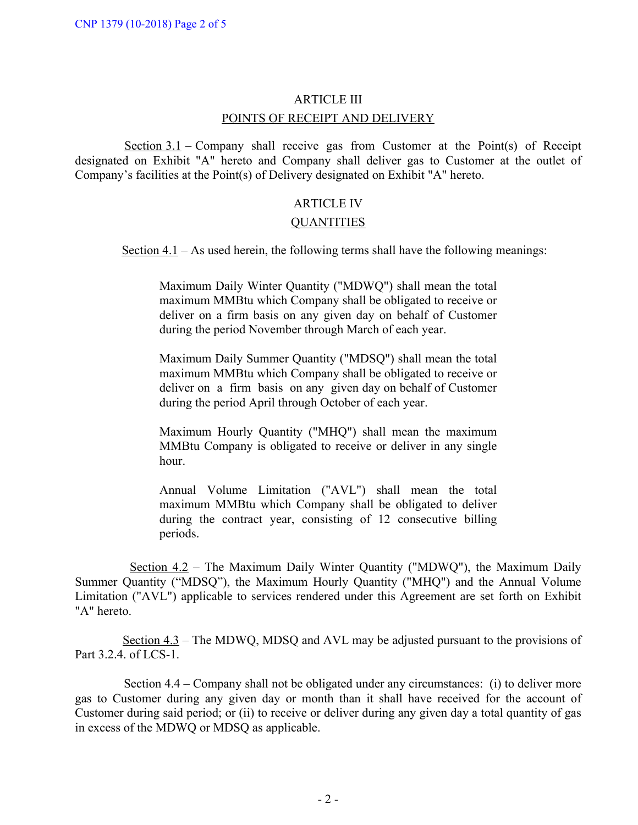## ARTICLE III

## POINTS OF RECEIPT AND DELIVERY

Section  $3.1$  – Company shall receive gas from Customer at the Point(s) of Receipt designated on Exhibit "A" hereto and Company shall deliver gas to Customer at the outlet of Company's facilities at the Point(s) of Delivery designated on Exhibit "A" hereto.

## ARTICLE IV

#### **QUANTITIES**

Section  $4.1 - As$  used herein, the following terms shall have the following meanings:

Maximum Daily Winter Quantity ("MDWQ") shall mean the total maximum MMBtu which Company shall be obligated to receive or deliver on a firm basis on any given day on behalf of Customer during the period November through March of each year.

Maximum Daily Summer Quantity ("MDSQ") shall mean the total maximum MMBtu which Company shall be obligated to receive or deliver on a firm basis on any given day on behalf of Customer during the period April through October of each year.

Maximum Hourly Quantity ("MHQ") shall mean the maximum MMBtu Company is obligated to receive or deliver in any single hour.

Annual Volume Limitation ("AVL") shall mean the total maximum MMBtu which Company shall be obligated to deliver during the contract year, consisting of 12 consecutive billing periods.

Section 4.2 – The Maximum Daily Winter Quantity ("MDWQ"), the Maximum Daily Summer Quantity ("MDSQ"), the Maximum Hourly Quantity ("MHQ") and the Annual Volume Limitation ("AVL") applicable to services rendered under this Agreement are set forth on Exhibit "A" hereto.

Section 4.3 – The MDWQ, MDSQ and AVL may be adjusted pursuant to the provisions of Part 3.2.4. of LCS-1.

Section 4.4 – Company shall not be obligated under any circumstances: (i) to deliver more gas to Customer during any given day or month than it shall have received for the account of Customer during said period; or (ii) to receive or deliver during any given day a total quantity of gas in excess of the MDWQ or MDSQ as applicable.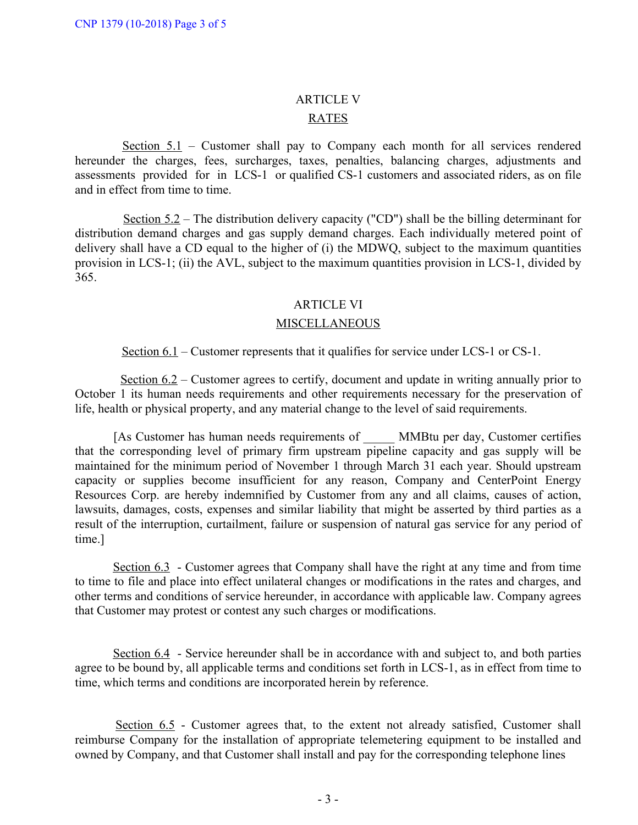## ARTICLE V

# RATES

Section 5.1 – Customer shall pay to Company each month for all services rendered hereunder the charges, fees, surcharges, taxes, penalties, balancing charges, adjustments and assessments provided for in LCS-1 or qualified CS-1 customers and associated riders, as on file and in effect from time to time.

Section 5.2 – The distribution delivery capacity ("CD") shall be the billing determinant for distribution demand charges and gas supply demand charges. Each individually metered point of delivery shall have a CD equal to the higher of (i) the MDWQ, subject to the maximum quantities provision in LCS-1; (ii) the AVL, subject to the maximum quantities provision in LCS-1, divided by 365.

## ARTICLE VI

## MISCELLANEOUS

Section 6.1 – Customer represents that it qualifies for service under LCS-1 or CS-1.

Section 6.2 – Customer agrees to certify, document and update in writing annually prior to October 1 its human needs requirements and other requirements necessary for the preservation of life, health or physical property, and any material change to the level of said requirements.

[As Customer has human needs requirements of MMBtu per day, Customer certifies that the corresponding level of primary firm upstream pipeline capacity and gas supply will be maintained for the minimum period of November 1 through March 31 each year. Should upstream capacity or supplies become insufficient for any reason, Company and CenterPoint Energy Resources Corp. are hereby indemnified by Customer from any and all claims, causes of action, lawsuits, damages, costs, expenses and similar liability that might be asserted by third parties as a result of the interruption, curtailment, failure or suspension of natural gas service for any period of time.]

Section 6.3 - Customer agrees that Company shall have the right at any time and from time to time to file and place into effect unilateral changes or modifications in the rates and charges, and other terms and conditions of service hereunder, in accordance with applicable law. Company agrees that Customer may protest or contest any such charges or modifications.

Section 6.4 - Service hereunder shall be in accordance with and subject to, and both parties agree to be bound by, all applicable terms and conditions set forth in LCS-1, as in effect from time to time, which terms and conditions are incorporated herein by reference.

Section  $6.5$  - Customer agrees that, to the extent not already satisfied, Customer shall reimburse Company for the installation of appropriate telemetering equipment to be installed and owned by Company, and that Customer shall install and pay for the corresponding telephone lines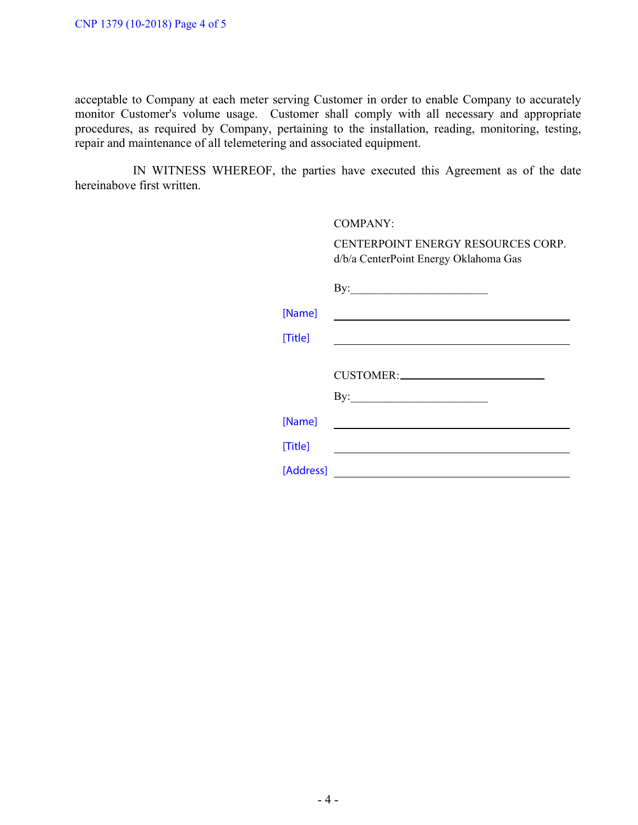acceptable to Company at each meter serving Customer in order to enable Company to accurately monitor Customer's volume usage. Customer shall comply with all necessary and appropriate procedures, as required by Company, pertaining to the installation, reading, monitoring, testing, repair and maintenance of all telemetering and associated equipment.

IN WITNESS WHEREOF, the parties have executed this Agreement as of the date hereinabove first written.

|           | COMPANY:                                                                                                              |  |  |  |
|-----------|-----------------------------------------------------------------------------------------------------------------------|--|--|--|
|           | CENTERPOINT ENERGY RESOURCES CORP.<br>d/b/a CenterPoint Energy Oklahoma Gas                                           |  |  |  |
|           | $\mathbf{By:}\_\_\_\_\_\_\_\_$                                                                                        |  |  |  |
| [Name]    | <u> 1980 - Johann Barn, fransk politik (f. 1980)</u>                                                                  |  |  |  |
| [Title]   | <u> 1989 - Jan Sterlinger, skriuwer fan it ferstjer fan it ferstjer fan it ferstjer fan it ferstjer fan it ferst</u>  |  |  |  |
|           |                                                                                                                       |  |  |  |
|           | CUSTOMER:                                                                                                             |  |  |  |
|           |                                                                                                                       |  |  |  |
| [Name]    |                                                                                                                       |  |  |  |
| [Title]   |                                                                                                                       |  |  |  |
| [Address] | <u> 1989 - Johann John Stone, mars eta bat erroman erroman erroman erroman erroman erroman erroman erroman erroma</u> |  |  |  |